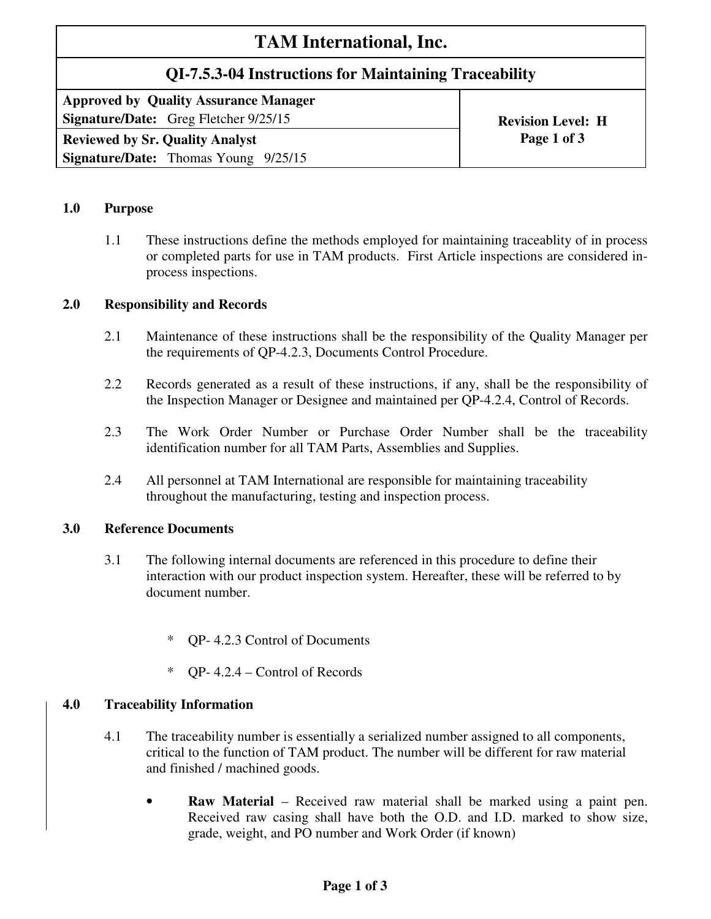# **TAM International, Inc.**

# **QI-7.5.3-04 Instructions for Maintaining Traceability**

**Approved by Quality Assurance Manager Signature/Date:** Greg Fletcher 9/25/15 **Revision Level: H Revision Level: H** 

**Reviewed by Sr. Quality Analyst Page 1 of 3 Signature/Date:** Thomas Young 9/25/15

#### **1.0 Purpose**

1.1 These instructions define the methods employed for maintaining traceablity of in process or completed parts for use in TAM products. First Article inspections are considered inprocess inspections.

## **2.0 Responsibility and Records**

- 2.1 Maintenance of these instructions shall be the responsibility of the Quality Manager per the requirements of QP-4.2.3, Documents Control Procedure.
- 2.2 Records generated as a result of these instructions, if any, shall be the responsibility of the Inspection Manager or Designee and maintained per QP-4.2.4, Control of Records.
- 2.3 The Work Order Number or Purchase Order Number shall be the traceability identification number for all TAM Parts, Assemblies and Supplies.
- 2.4 All personnel at TAM International are responsible for maintaining traceability throughout the manufacturing, testing and inspection process.

## **3.0 Reference Documents**

- 3.1 The following internal documents are referenced in this procedure to define their interaction with our product inspection system. Hereafter, these will be referred to by document number.
	- \* QP- 4.2.3 Control of Documents
	- \* QP- 4.2.4 Control of Records

# **4.0 Traceability Information**

- 4.1 The traceability number is essentially a serialized number assigned to all components, critical to the function of TAM product. The number will be different for raw material and finished / machined goods.
	- **Raw Material** Received raw material shall be marked using a paint pen. Received raw casing shall have both the O.D. and I.D. marked to show size, grade, weight, and PO number and Work Order (if known)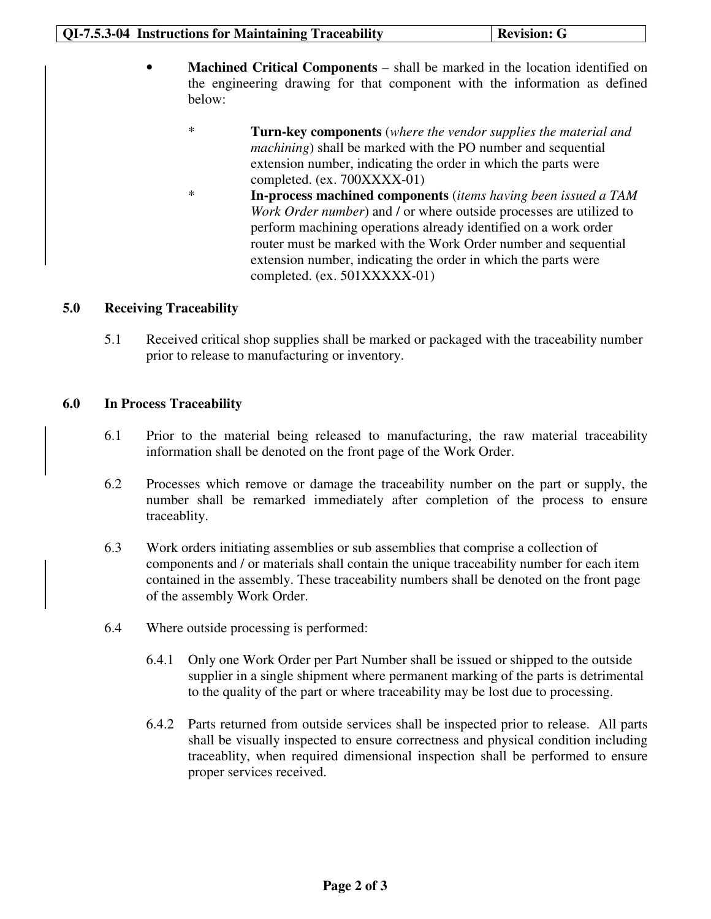- **Machined Critical Components** shall be marked in the location identified on the engineering drawing for that component with the information as defined below:
	- \* **Turn-key components** (*where the vendor supplies the material and machining*) shall be marked with the PO number and sequential extension number, indicating the order in which the parts were completed. (ex. 700XXXX-01)
	- \* **In-process machined components** (*items having been issued a TAM Work Order number*) and / or where outside processes are utilized to perform machining operations already identified on a work order router must be marked with the Work Order number and sequential extension number, indicating the order in which the parts were completed. (ex. 501XXXXX-01)

#### **5.0 Receiving Traceability**

5.1 Received critical shop supplies shall be marked or packaged with the traceability number prior to release to manufacturing or inventory.

#### **6.0 In Process Traceability**

- 6.1 Prior to the material being released to manufacturing, the raw material traceability information shall be denoted on the front page of the Work Order.
- 6.2 Processes which remove or damage the traceability number on the part or supply, the number shall be remarked immediately after completion of the process to ensure traceablity.
- 6.3 Work orders initiating assemblies or sub assemblies that comprise a collection of components and / or materials shall contain the unique traceability number for each item contained in the assembly. These traceability numbers shall be denoted on the front page of the assembly Work Order.
- 6.4 Where outside processing is performed:
	- 6.4.1 Only one Work Order per Part Number shall be issued or shipped to the outside supplier in a single shipment where permanent marking of the parts is detrimental to the quality of the part or where traceability may be lost due to processing.
	- 6.4.2 Parts returned from outside services shall be inspected prior to release. All parts shall be visually inspected to ensure correctness and physical condition including traceablity, when required dimensional inspection shall be performed to ensure proper services received.